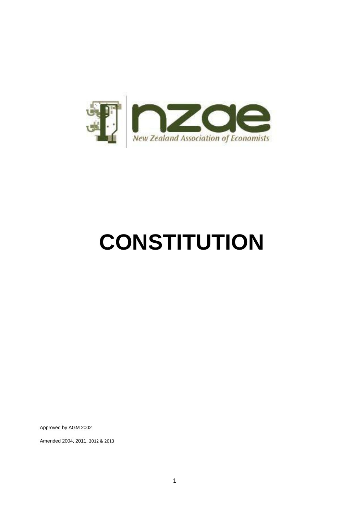

# **CONSTITUTION**

Approved by AGM 2002

Amended 2004, 2011, 2012 & 2013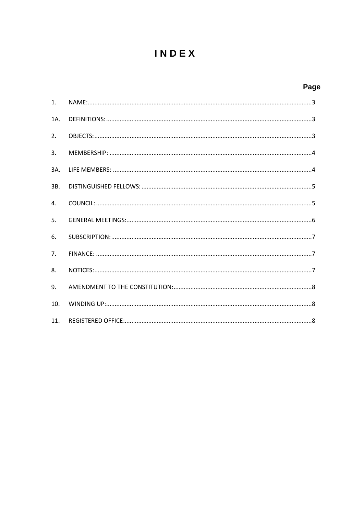# INDEX

## Page

| 1 <sub>1</sub>  |  |
|-----------------|--|
| 1A.             |  |
| 2.              |  |
| 3.              |  |
| 3A.             |  |
| 3B.             |  |
| 4.              |  |
| 5.              |  |
| 6.              |  |
| 7.              |  |
| 8.              |  |
| 9.              |  |
| 10.             |  |
| 11 <sub>1</sub> |  |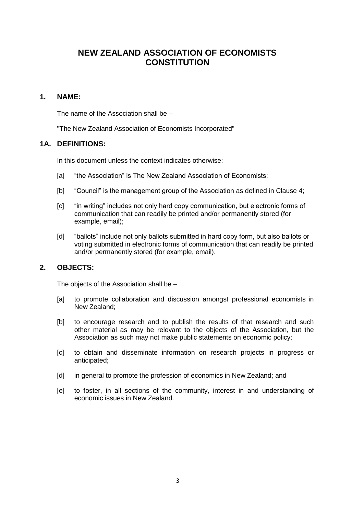### **NEW ZEALAND ASSOCIATION OF ECONOMISTS CONSTITUTION**

#### <span id="page-2-0"></span>**1. NAME:**

The name of the Association shall be –

"The New Zealand Association of Economists Incorporated"

#### <span id="page-2-1"></span>**1A. DEFINITIONS:**

In this document unless the context indicates otherwise:

- [a] "the Association" is The New Zealand Association of Economists;
- [b] "Council" is the management group of the Association as defined in Clause 4;
- [c] "in writing" includes not only hard copy communication, but electronic forms of communication that can readily be printed and/or permanently stored (for example, email);
- [d] "ballots" include not only ballots submitted in hard copy form, but also ballots or voting submitted in electronic forms of communication that can readily be printed and/or permanently stored (for example, email).

#### <span id="page-2-2"></span>**2. OBJECTS:**

The objects of the Association shall be –

- [a] to promote collaboration and discussion amongst professional economists in New Zealand;
- [b] to encourage research and to publish the results of that research and such other material as may be relevant to the objects of the Association, but the Association as such may not make public statements on economic policy;
- [c] to obtain and disseminate information on research projects in progress or anticipated;
- [d] in general to promote the profession of economics in New Zealand; and
- [e] to foster, in all sections of the community, interest in and understanding of economic issues in New Zealand.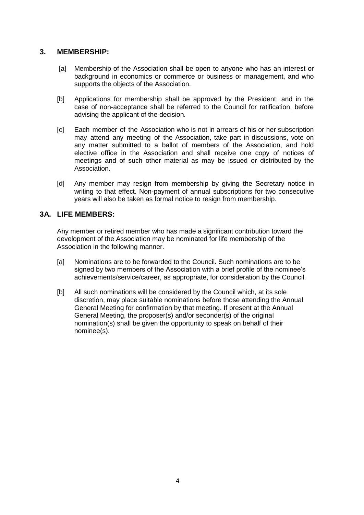#### <span id="page-3-0"></span>**3. MEMBERSHIP:**

- [a] Membership of the Association shall be open to anyone who has an interest or background in economics or commerce or business or management, and who supports the objects of the Association.
- [b] Applications for membership shall be approved by the President; and in the case of non-acceptance shall be referred to the Council for ratification, before advising the applicant of the decision.
- [c] Each member of the Association who is not in arrears of his or her subscription may attend any meeting of the Association, take part in discussions, vote on any matter submitted to a ballot of members of the Association, and hold elective office in the Association and shall receive one copy of notices of meetings and of such other material as may be issued or distributed by the Association.
- [d] Any member may resign from membership by giving the Secretary notice in writing to that effect. Non-payment of annual subscriptions for two consecutive years will also be taken as formal notice to resign from membership.

#### <span id="page-3-1"></span>**3A. LIFE MEMBERS:**

Any member or retired member who has made a significant contribution toward the development of the Association may be nominated for life membership of the Association in the following manner.

- [a] Nominations are to be forwarded to the Council. Such nominations are to be signed by two members of the Association with a brief profile of the nominee's achievements/service/career, as appropriate, for consideration by the Council.
- [b] All such nominations will be considered by the Council which, at its sole discretion, may place suitable nominations before those attending the Annual General Meeting for confirmation by that meeting. If present at the Annual General Meeting, the proposer(s) and/or seconder(s) of the original nomination(s) shall be given the opportunity to speak on behalf of their nominee(s).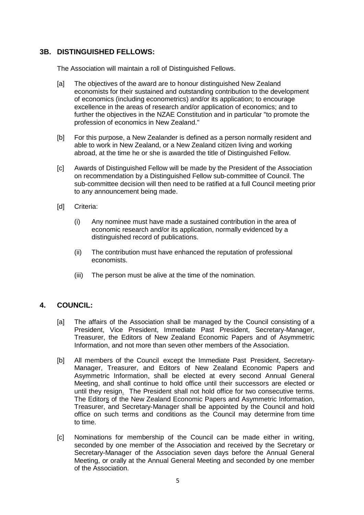#### <span id="page-4-0"></span>**3B. DISTINGUISHED FELLOWS:**

The Association will maintain a roll of Distinguished Fellows.

- [a] The objectives of the award are to honour distinguished New Zealand economists for their sustained and outstanding contribution to the development of economics (including econometrics) and/or its application; to encourage excellence in the areas of research and/or application of economics; and to further the objectives in the NZAE Constitution and in particular "to promote the profession of economics in New Zealand."
- [b] For this purpose, a New Zealander is defined as a person normally resident and able to work in New Zealand, or a New Zealand citizen living and working abroad, at the time he or she is awarded the title of Distinguished Fellow.
- [c] Awards of Distinguished Fellow will be made by the President of the Association on recommendation by a Distinguished Fellow sub‐committee of Council. The sub‐committee decision will then need to be ratified at a full Council meeting prior to any announcement being made.
- [d] Criteria:
	- (i) Any nominee must have made a sustained contribution in the area of economic research and/or its application, normally evidenced by a distinguished record of publications.
	- (ii) The contribution must have enhanced the reputation of professional economists.
	- (iii) The person must be alive at the time of the nomination.

#### <span id="page-4-1"></span>**4. COUNCIL:**

- [a] The affairs of the Association shall be managed by the Council consisting of a President, Vice President, Immediate Past President, Secretary-Manager, Treasurer, the Editors of New Zealand Economic Papers and of Asymmetric Information, and not more than seven other members of the Association.
- [b] All members of the Council except the Immediate Past President, Secretary-Manager, Treasurer, and Editors of New Zealand Economic Papers and Asymmetric Information, shall be elected at every second Annual General Meeting, and shall continue to hold office until their successors are elected or until they resign. The President shall not hold office for two consecutive terms. The Editors of the New Zealand Economic Papers and Asymmetric Information, Treasurer, and Secretary-Manager shall be appointed by the Council and hold office on such terms and conditions as the Council may determine from time to time.
- [c] Nominations for membership of the Council can be made either in writing, seconded by one member of the Association and received by the Secretary or Secretary-Manager of the Association seven days before the Annual General Meeting, or orally at the Annual General Meeting and seconded by one member of the Association.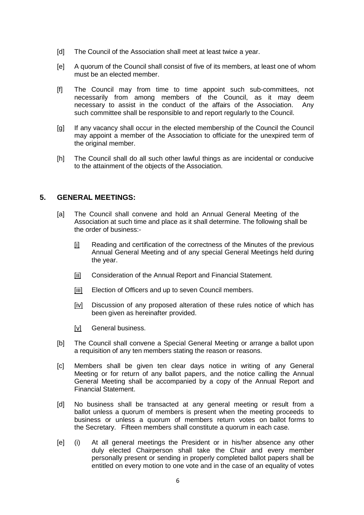- [d] The Council of the Association shall meet at least twice a year.
- [e] A quorum of the Council shall consist of five of its members, at least one of whom must be an elected member.
- [f] The Council may from time to time appoint such sub-committees, not necessarily from among members of the Council, as it may deem<br>necessary to assist in the conduct of the affairs of the Association. Any necessary to assist in the conduct of the affairs of the Association. such committee shall be responsible to and report regularly to the Council.
- [g] If any vacancy shall occur in the elected membership of the Council the Council may appoint a member of the Association to officiate for the unexpired term of the original member.
- [h] The Council shall do all such other lawful things as are incidental or conducive to the attainment of the objects of the Association.

#### <span id="page-5-0"></span>**5. GENERAL MEETINGS:**

- [a] The Council shall convene and hold an Annual General Meeting of the Association at such time and place as it shall determine. The following shall be the order of business:-
	- [i] Reading and certification of the correctness of the Minutes of the previous Annual General Meeting and of any special General Meetings held during the year.
	- [ii] Consideration of the Annual Report and Financial Statement.
	- [iii] Election of Officers and up to seven Council members.
	- [iv] Discussion of any proposed alteration of these rules notice of which has been given as hereinafter provided.
	- [v] General business.
- [b] The Council shall convene a Special General Meeting or arrange a ballot upon a requisition of any ten members stating the reason or reasons.
- [c] Members shall be given ten clear days notice in writing of any General Meeting or for return of any ballot papers, and the notice calling the Annual General Meeting shall be accompanied by a copy of the Annual Report and Financial Statement.
- [d] No business shall be transacted at any general meeting or result from a ballot unless a quorum of members is present when the meeting proceeds to business or unless a quorum of members return votes on ballot forms to the Secretary. Fifteen members shall constitute a quorum in each case.
- [e] (i) At all general meetings the President or in his/her absence any other duly elected Chairperson shall take the Chair and every member personally present or sending in properly completed ballot papers shall be entitled on every motion to one vote and in the case of an equality of votes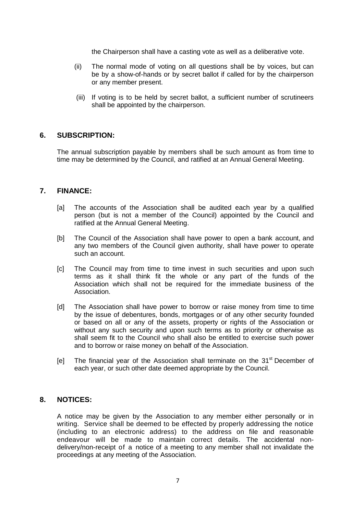the Chairperson shall have a casting vote as well as a deliberative vote.

- (ii) The normal mode of voting on all questions shall be by voices, but can be by a show-of-hands or by secret ballot if called for by the chairperson or any member present.
- (iii) If voting is to be held by secret ballot, a sufficient number of scrutineers shall be appointed by the chairperson.

#### <span id="page-6-0"></span>**6. SUBSCRIPTION:**

The annual subscription payable by members shall be such amount as from time to time may be determined by the Council, and ratified at an Annual General Meeting.

#### <span id="page-6-1"></span>**7. FINANCE:**

- [a] The accounts of the Association shall be audited each year by a qualified person (but is not a member of the Council) appointed by the Council and ratified at the Annual General Meeting.
- [b] The Council of the Association shall have power to open a bank account, and any two members of the Council given authority, shall have power to operate such an account.
- [c] The Council may from time to time invest in such securities and upon such terms as it shall think fit the whole or any part of the funds of the Association which shall not be required for the immediate business of the Association.
- [d] The Association shall have power to borrow or raise money from time to time by the issue of debentures, bonds, mortgages or of any other security founded or based on all or any of the assets, property or rights of the Association or without any such security and upon such terms as to priority or otherwise as shall seem fit to the Council who shall also be entitled to exercise such power and to borrow or raise money on behalf of the Association.
- [e] The financial year of the Association shall terminate on the 31<sup>st</sup> December of each year, or such other date deemed appropriate by the Council.

#### <span id="page-6-2"></span>**8. NOTICES:**

A notice may be given by the Association to any member either personally or in writing. Service shall be deemed to be effected by properly addressing the notice (including to an electronic address) to the address on file and reasonable endeavour will be made to maintain correct details. The accidental nondelivery/non-receipt of a notice of a meeting to any member shall not invalidate the proceedings at any meeting of the Association.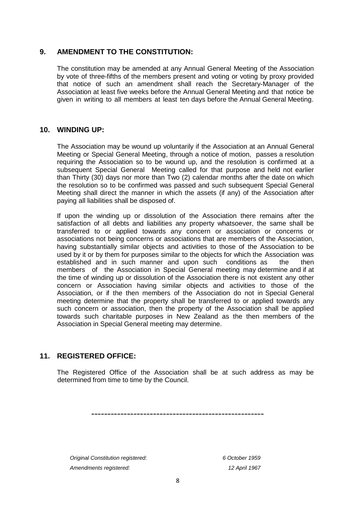#### <span id="page-7-0"></span>**9. AMENDMENT TO THE CONSTITUTION:**

The constitution may be amended at any Annual General Meeting of the Association by vote of three-fifths of the members present and voting or voting by proxy provided that notice of such an amendment shall reach the Secretary-Manager of the Association at least five weeks before the Annual General Meeting and that notice be given in writing to all members at least ten days before the Annual General Meeting.

#### <span id="page-7-1"></span>**10. WINDING UP:**

The Association may be wound up voluntarily if the Association at an Annual General Meeting or Special General Meeting, through a notice of motion, passes a resolution requiring the Association so to be wound up, and the resolution is confirmed at a subsequent Special General Meeting called for that purpose and held not earlier than Thirty (30) days nor more than Two (2) calendar months after the date on which the resolution so to be confirmed was passed and such subsequent Special General Meeting shall direct the manner in which the assets (if any) of the Association after paying all liabilities shall be disposed of.

If upon the winding up or dissolution of the Association there remains after the satisfaction of all debts and liabilities any property whatsoever, the same shall be transferred to or applied towards any concern or association or concerns or associations not being concerns or associations that are members of the Association, having substantially similar objects and activities to those of the Association to be used by it or by them for purposes similar to the objects for which the Association was established and in such manner and upon such conditions as the then members of the Association in Special General meeting may determine and if at the time of winding up or dissolution of the Association there is not existent any other concern or Association having similar objects and activities to those of the Association, or if the then members of the Association do not in Special General meeting determine that the property shall be transferred to or applied towards any such concern or association, then the property of the Association shall be applied towards such charitable purposes in New Zealand as the then members of the Association in Special General meeting may determine.

#### <span id="page-7-2"></span>**11. REGISTERED OFFICE:**

The Registered Office of the Association shall be at such address as may be determined from time to time by the Council.

-----------------------------------------------------

*Original Constitution registered: 6 October 1959 Amendments registered: 12 April 1967*